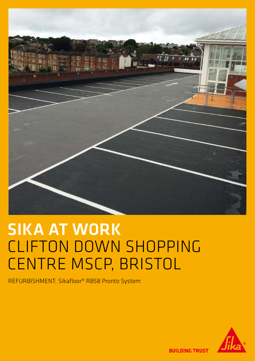

## SIKA AT WORK CLIFTON DOWN SHOPPING CENTRE MSCP, BRISTOL

REFURBISHMENT: Sikafloor® RB58 Pronto System



**BUILDING TRUST**